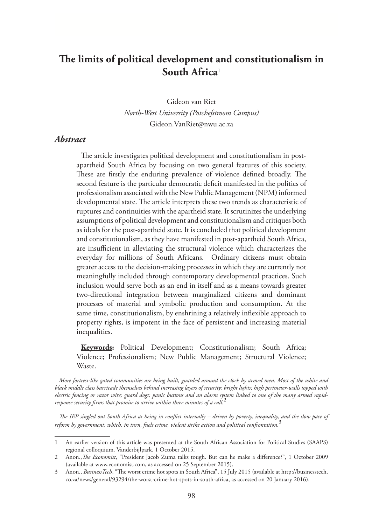# **The limits of political development and constitutionalism in South Africa**<sup>1</sup>

Gideon van Riet *North-West University (Potchefstroom Campus)*  Gideon.VanRiet@nwu.ac.za

### *Abstract*

The article investigates political development and constitutionalism in postapartheid South Africa by focusing on two general features of this society. These are firstly the enduring prevalence of violence defined broadly. The second feature is the particular democratic deficit manifested in the politics of professionalism associated with the New Public Management (NPM) informed developmental state. The article interprets these two trends as characteristic of ruptures and continuities with the apartheid state. It scrutinizes the underlying assumptions of political development and constitutionalism and critiques both as ideals for the post-apartheid state. It is concluded that political development and constitutionalism, as they have manifested in post-apartheid South Africa, are insufficient in alleviating the structural violence which characterizes the everyday for millions of South Africans. Ordinary citizens must obtain greater access to the decision-making processes in which they are currently not meaningfully included through contemporary developmental practices. Such inclusion would serve both as an end in itself and as a means towards greater two-directional integration between marginalized citizens and dominant processes of material and symbolic production and consumption. At the same time, constitutionalism, by enshrining a relatively inflexible approach to property rights, is impotent in the face of persistent and increasing material inequalities.

**Keywords:** Political Development; Constitutionalism; South Africa; Violence; Professionalism; New Public Management; Structural Violence; Waste.

*More fortress-like gated communities are being built, guarded around the clock by armed men. Most of the white and black middle class barricade themselves behind increasing layers of security: bright lights; high perimeter-walls topped with electric fencing or razor wire; guard dogs; panic buttons and an alarm system linked to one of the many armed rapidresponse security firms that promise to arrive within three minutes of a call.*<sup>2</sup>

*The IEP singled out South Africa as being in conflict internally – driven by poverty, inequality, and the slow pace of reform by government, which, in turn, fuels crime, violent strike action and political confrontation.*<sup>3</sup>

<sup>1</sup> An earlier version of this article was presented at the South African Association for Political Studies (SAAPS) regional colloquium. Vanderbijlpark. 1 October 2015.

<sup>2</sup> Anon.,*The Economist*, "President Jacob Zuma talks tough. But can he make a difference?", 1 October 2009 (available at www.economist.com, as accessed on 25 September 2015).

<sup>3</sup> Anon., *BusinessTech*, "The worst crime hot spots in South Africa", 15 July 2015 (available at http://businesstech. co.za/news/general/93294/the-worst-crime-hot-spots-in-south-africa, as accessed on 20 January 2016).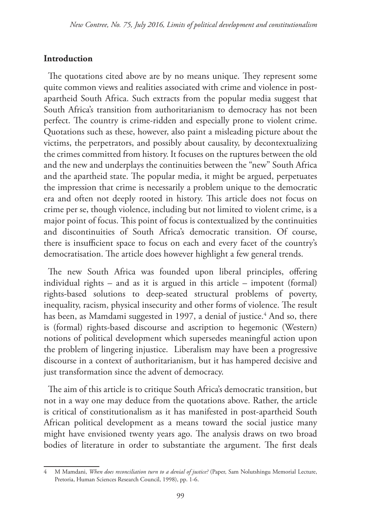### **Introduction**

The quotations cited above are by no means unique. They represent some quite common views and realities associated with crime and violence in postapartheid South Africa. Such extracts from the popular media suggest that South Africa's transition from authoritarianism to democracy has not been perfect. The country is crime-ridden and especially prone to violent crime. Quotations such as these, however, also paint a misleading picture about the victims, the perpetrators, and possibly about causality, by decontextualizing the crimes committed from history. It focuses on the ruptures between the old and the new and underplays the continuities between the "new" South Africa and the apartheid state. The popular media, it might be argued, perpetuates the impression that crime is necessarily a problem unique to the democratic era and often not deeply rooted in history. This article does not focus on crime per se, though violence, including but not limited to violent crime, is a major point of focus. This point of focus is contextualized by the continuities and discontinuities of South Africa's democratic transition. Of course, there is insufficient space to focus on each and every facet of the country's democratisation. The article does however highlight a few general trends.

The new South Africa was founded upon liberal principles, offering individual rights – and as it is argued in this article – impotent (formal) rights-based solutions to deep-seated structural problems of poverty, inequality, racism, physical insecurity and other forms of violence. The result has been, as Mamdami suggested in 1997, a denial of justice.<sup>4</sup> And so, there is (formal) rights-based discourse and ascription to hegemonic (Western) notions of political development which supersedes meaningful action upon the problem of lingering injustice. Liberalism may have been a progressive discourse in a context of authoritarianism, but it has hampered decisive and just transformation since the advent of democracy.

The aim of this article is to critique South Africa's democratic transition, but not in a way one may deduce from the quotations above. Rather, the article is critical of constitutionalism as it has manifested in post-apartheid South African political development as a means toward the social justice many might have envisioned twenty years ago. The analysis draws on two broad bodies of literature in order to substantiate the argument. The first deals

<sup>4</sup> M Mamdani, *When does reconciliation turn to a denial of justice?* (Paper, Sam Nolutshingu Memorial Lecture, Pretoria, Human Sciences Research Council, 1998), pp. 1-6.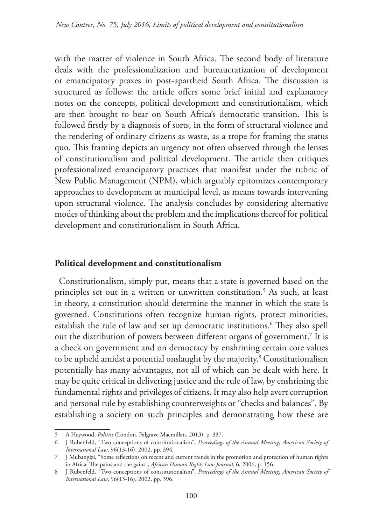with the matter of violence in South Africa. The second body of literature deals with the professionalization and bureaucratization of development or emancipatory praxes in post-apartheid South Africa. The discussion is structured as follows: the article offers some brief initial and explanatory notes on the concepts, political development and constitutionalism, which are then brought to bear on South Africa's democratic transition. This is followed firstly by a diagnosis of sorts, in the form of structural violence and the rendering of ordinary citizens as waste, as a trope for framing the status quo. This framing depicts an urgency not often observed through the lenses of constitutionalism and political development. The article then critiques professionalized emancipatory practices that manifest under the rubric of New Public Management (NPM), which arguably epitomizes contemporary approaches to development at municipal level, as means towards intervening upon structural violence. The analysis concludes by considering alternative modes of thinking about the problem and the implications thereof for political development and constitutionalism in South Africa.

### **Political development and constitutionalism**

Constitutionalism, simply put, means that a state is governed based on the principles set out in a written or unwritten constitution.5 As such, at least in theory, a constitution should determine the manner in which the state is governed. Constitutions often recognize human rights, protect minorities, establish the rule of law and set up democratic institutions.6 They also spell out the distribution of powers between different organs of government.<sup>7</sup> It is a check on government and on democracy by enshrining certain core values to be upheld amidst a potential onslaught by the majority.8 Constitutionalism potentially has many advantages, not all of which can be dealt with here. It may be quite critical in delivering justice and the rule of law, by enshrining the fundamental rights and privileges of citizens. It may also help avert corruption and personal rule by establishing counterweights or "checks and balances". By establishing a society on such principles and demonstrating how these are

<sup>5</sup> A Heywood, *Politics* (London, Palgrave Macmillan, 2013), p. 337.

<sup>6</sup> J Rubenfeld, "Two conceptions of constitutionalism", *Proceedings of the Annual Meeting, American Society of International Law*, 96(13-16), 2002, pp. 394.

<sup>7</sup> J Mubangizi, "Some reflections on recent and current trends in the promotion and protection of human rights in Africa: The pains and the gains", *African Human Rights Law Journal*, 6, 2006, p. 156.

<sup>8</sup> J Rubenfeld, "Two conceptions of constitutionalism", *Proceedings of the Annual Meeting, American Society of International Law*, 96(13-16), 2002, pp. 396.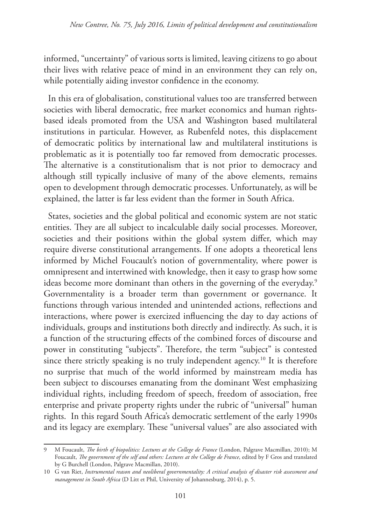informed, "uncertainty" of various sorts is limited, leaving citizens to go about their lives with relative peace of mind in an environment they can rely on, while potentially aiding investor confidence in the economy.

In this era of globalisation, constitutional values too are transferred between societies with liberal democratic, free market economics and human rightsbased ideals promoted from the USA and Washington based multilateral institutions in particular. However, as Rubenfeld notes, this displacement of democratic politics by international law and multilateral institutions is problematic as it is potentially too far removed from democratic processes. The alternative is a constitutionalism that is not prior to democracy and although still typically inclusive of many of the above elements, remains open to development through democratic processes. Unfortunately, as will be explained, the latter is far less evident than the former in South Africa.

States, societies and the global political and economic system are not static entities. They are all subject to incalculable daily social processes. Moreover, societies and their positions within the global system differ, which may require diverse constitutional arrangements. If one adopts a theoretical lens informed by Michel Foucault's notion of governmentality, where power is omnipresent and intertwined with knowledge, then it easy to grasp how some ideas become more dominant than others in the governing of the everyday.<sup>9</sup> Governmentality is a broader term than government or governance. It functions through various intended and unintended actions, reflections and interactions, where power is exercized influencing the day to day actions of individuals, groups and institutions both directly and indirectly. As such, it is a function of the structuring effects of the combined forces of discourse and power in constituting "subjects". Therefore, the term "subject" is contested since there strictly speaking is no truly independent agency.<sup>10</sup> It is therefore no surprise that much of the world informed by mainstream media has been subject to discourses emanating from the dominant West emphasizing individual rights, including freedom of speech, freedom of association, free enterprise and private property rights under the rubric of "universal" human rights. In this regard South Africa's democratic settlement of the early 1990s and its legacy are exemplary. These "universal values" are also associated with

<sup>9</sup> M Foucault, *The birth of biopolitics: Lectures at the College de France* (London, Palgrave Macmillan, 2010); M Foucault, *The government of the self and others: Lectures at the College de France*, edited by F Gros and translated by G Burchell (London, Palgrave Macmillan, 2010).

<sup>10</sup> G van Riet, *Instrumental reason and neoliberal governmentality: A critical analysis of disaster risk assessment and management in South Africa* (D Litt et Phil, University of Johannesburg, 2014), p. 5.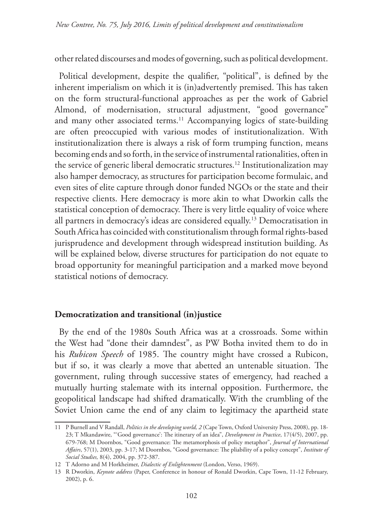other related discourses and modes of governing, such as political development.

Political development, despite the qualifier, "political", is defined by the inherent imperialism on which it is (in)advertently premised. This has taken on the form structural-functional approaches as per the work of Gabriel Almond, of modernisation, structural adjustment, "good governance" and many other associated terms.<sup>11</sup> Accompanying logics of state-building are often preoccupied with various modes of institutionalization. With institutionalization there is always a risk of form trumping function, means becoming ends and so forth, in the service of instrumental rationalities, often in the service of generic liberal democratic structures.<sup>12</sup> Institutionalization may also hamper democracy, as structures for participation become formulaic, and even sites of elite capture through donor funded NGOs or the state and their respective clients. Here democracy is more akin to what Dworkin calls the statistical conception of democracy. There is very little equality of voice where all partners in democracy's ideas are considered equally.13 Democratisation in South Africa has coincided with constitutionalism through formal rights-based jurisprudence and development through widespread institution building. As will be explained below, diverse structures for participation do not equate to broad opportunity for meaningful participation and a marked move beyond statistical notions of democracy.

# **Democratization and transitional (in)justice**

By the end of the 1980s South Africa was at a crossroads. Some within the West had "done their damndest", as PW Botha invited them to do in his *Rubicon Speech* of 1985. The country might have crossed a Rubicon, but if so, it was clearly a move that abetted an untenable situation. The government, ruling through successive states of emergency, had reached a mutually hurting stalemate with its internal opposition. Furthermore, the geopolitical landscape had shifted dramatically. With the crumbling of the Soviet Union came the end of any claim to legitimacy the apartheid state

<sup>11</sup> P Burnell and V Randall, *Politics in the developing world, 2* (Cape Town, Oxford University Press, 2008), pp. 18- 23; T Mkandawire, "'Good governance': The itinerary of an idea", *Development in Practice*, 17(4/5), 2007, pp. 679-768; M Doornbos, "Good governance: The metamorphosis of policy metaphor", *Journal of International Affairs*, 57(1), 2003, pp. 3-17; M Doornbos, "Good governance: The pliability of a policy concept", *Institute of Social Studies,* 8(4), 2004, pp. 372-387.

<sup>12</sup> T Adorno and M Horkheimer, *Dialectic of Enlightenment* (London, Verso, 1969).

<sup>13</sup> R Dworkin, *Keynote address* (Paper, Conference in honour of Ronald Dworkin, Cape Town, 11-12 February, 2002), p. 6.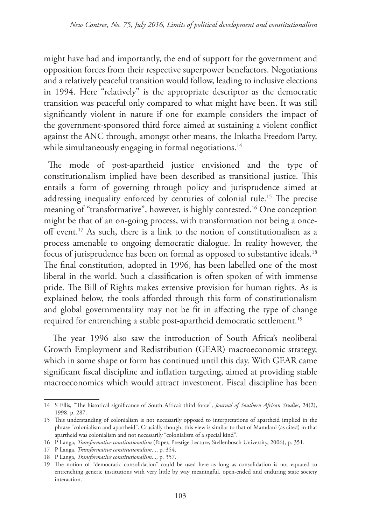might have had and importantly, the end of support for the government and opposition forces from their respective superpower benefactors. Negotiations and a relatively peaceful transition would follow, leading to inclusive elections in 1994. Here "relatively" is the appropriate descriptor as the democratic transition was peaceful only compared to what might have been. It was still significantly violent in nature if one for example considers the impact of the government-sponsored third force aimed at sustaining a violent conflict against the ANC through, amongst other means, the Inkatha Freedom Party, while simultaneously engaging in formal negotiations.<sup>14</sup>

The mode of post-apartheid justice envisioned and the type of constitutionalism implied have been described as transitional justice. This entails a form of governing through policy and jurisprudence aimed at addressing inequality enforced by centuries of colonial rule.<sup>15</sup> The precise meaning of "transformative", however, is highly contested.16 One conception might be that of an on-going process, with transformation not being a onceoff event.17 As such, there is a link to the notion of constitutionalism as a process amenable to ongoing democratic dialogue. In reality however, the focus of jurisprudence has been on formal as opposed to substantive ideals.18 The final constitution, adopted in 1996, has been labelled one of the most liberal in the world. Such a classification is often spoken of with immense pride. The Bill of Rights makes extensive provision for human rights. As is explained below, the tools afforded through this form of constitutionalism and global governmentality may not be fit in affecting the type of change required for entrenching a stable post-apartheid democratic settlement.<sup>19</sup>

 The year 1996 also saw the introduction of South Africa's neoliberal Growth Employment and Redistribution (GEAR) macroeconomic strategy, which in some shape or form has continued until this day. With GEAR came significant fiscal discipline and inflation targeting, aimed at providing stable macroeconomics which would attract investment. Fiscal discipline has been

<sup>14</sup> S Ellis, "The historical significance of South Africa's third force", *Journal of Southern African Studies*, 24(2), 1998, p. 287.

<sup>15</sup> This understanding of colonialism is not necessarily opposed to interpretations of apartheid implied in the phrase "colonialism and apartheid". Crucially though, this view is similar to that of Mamdani (as cited) in that apartheid was colonialism and not necessarily "colonialism of a special kind".

<sup>16</sup> P Langa, *Transformative constitutionalism* (Paper, Prestige Lecture, Stellenbosch University, 2006), p. 351.

<sup>17</sup> P Langa, *Transformative constitutionalism*..., p. 354.

<sup>18</sup> P Langa, *Transformative constitutionalism*..., p. 357.

<sup>19</sup> The notion of "democratic consolidation" could be used here as long as consolidation is not equated to entrenching generic institutions with very little by way meaningful, open-ended and enduring state society interaction.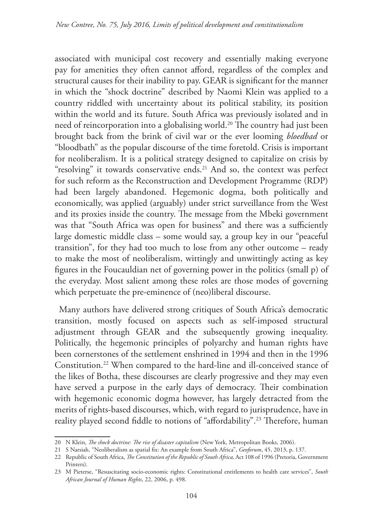associated with municipal cost recovery and essentially making everyone pay for amenities they often cannot afford, regardless of the complex and structural causes for their inability to pay. GEAR is significant for the manner in which the "shock doctrine" described by Naomi Klein was applied to a country riddled with uncertainty about its political stability, its position within the world and its future. South Africa was previously isolated and in need of reincorporation into a globalising world.<sup>20</sup> The country had just been brought back from the brink of civil war or the ever looming *bloedbad* or "bloodbath" as the popular discourse of the time foretold. Crisis is important for neoliberalism. It is a political strategy designed to capitalize on crisis by "resolving" it towards conservative ends.<sup>21</sup> And so, the context was perfect for such reform as the Reconstruction and Development Programme (RDP) had been largely abandoned. Hegemonic dogma, both politically and economically, was applied (arguably) under strict surveillance from the West and its proxies inside the country. The message from the Mbeki government was that "South Africa was open for business" and there was a sufficiently large domestic middle class – some would say, a group key in our "peaceful transition", for they had too much to lose from any other outcome – ready to make the most of neoliberalism, wittingly and unwittingly acting as key figures in the Foucauldian net of governing power in the politics (small p) of the everyday. Most salient among these roles are those modes of governing which perpetuate the pre-eminence of (neo)liberal discourse.

Many authors have delivered strong critiques of South Africa's democratic transition, mostly focused on aspects such as self-imposed structural adjustment through GEAR and the subsequently growing inequality. Politically, the hegemonic principles of polyarchy and human rights have been cornerstones of the settlement enshrined in 1994 and then in the 1996 Constitution.22 When compared to the hard-line and ill-conceived stance of the likes of Botha, these discourses are clearly progressive and they may even have served a purpose in the early days of democracy. Their combination with hegemonic economic dogma however, has largely detracted from the merits of rights-based discourses, which, with regard to jurisprudence, have in reality played second fiddle to notions of "affordability".<sup>23</sup> Therefore, human

<sup>20</sup> N Klein, *The shock doctrine: The rise of disaster capitalism* (New York, Metropolitan Books, 2006).

<sup>21</sup> S Narsiah, "Neoliberalism as spatial fix: An example from South Africa", *Geoforum*, 45, 2013, p. 137.

<sup>22</sup> Republic of South Africa, *The Constitution of the Republic of South Africa,* Act 108 of 1996 (Pretoria, Government Printers).

<sup>23</sup> M Pieterse, "Resuscitating socio-economic rights: Constitutional entitlements to health care services", *South African Journal of Human Rights*, 22, 2006, p. 498.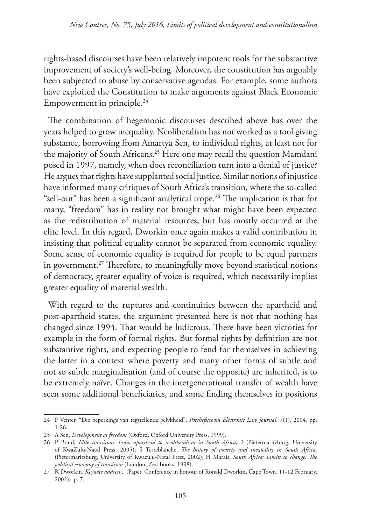rights-based discourses have been relatively impotent tools for the substantive improvement of society's well-being. Moreover, the constitution has arguably been subjected to abuse by conservative agendas. For example, some authors have exploited the Constitution to make arguments against Black Economic Empowerment in principle.<sup>24</sup>

The combination of hegemonic discourses described above has over the years helped to grow inequality. Neoliberalism has not worked as a tool giving substance, borrowing from Amartya Sen, to individual rights, at least not for the majority of South Africans.25 Here one may recall the question Mamdani posed in 1997, namely, when does reconciliation turn into a denial of justice? He argues that rights have supplanted social justice. Similar notions of injustice have informed many critiques of South Africa's transition, where the so-called "sell-out" has been a significant analytical trope.<sup>26</sup> The implication is that for many, "freedom" has in reality not brought what might have been expected as the redistribution of material resources, but has mostly occurred at the elite level. In this regard, Dworkin once again makes a valid contribution in insisting that political equality cannot be separated from economic equality. Some sense of economic equality is required for people to be equal partners in government.<sup>27</sup> Therefore, to meaningfully move beyond statistical notions of democracy, greater equality of voice is required, which necessarily implies greater equality of material wealth.

With regard to the ruptures and continuities between the apartheid and post-apartheid states, the argument presented here is not that nothing has changed since 1994. That would be ludicrous. There have been victories for example in the form of formal rights. But formal rights by definition are not substantive rights, and expecting people to fend for themselves in achieving the latter in a context where poverty and many other forms of subtle and not so subtle marginalisation (and of course the opposite) are inherited, is to be extremely naïve. Changes in the intergenerational transfer of wealth have seen some additional beneficiaries, and some finding themselves in positions

<sup>24</sup> F Venter, "Die beperkings van regstellende gelykheid", *Potchefstroom Electronic Law Journal*, 7(1), 2004, pp. 1-26.

<sup>25</sup> A Sen, *Development as freedom* (Oxford, Oxford University Press, 1999).

<sup>26</sup> P Bond, *Elite transition: From apartheid to neoliberalism in South Africa, 2* (Pietermaritzburg, University of KwaZulu-Natal Press, 2005); S Terreblanche, *The history of poverty and inequality in South Africa,*  (Pietermaritzburg, University of Kwazulu-Natal Press, 2002); H Marais, *South Africa: Limits to change: The political economy of transition* (London, Zed Books, 1998).

<sup>27</sup> R Dworkin, *Keynote address*... (Paper, Conference in honour of Ronald Dworkin, Cape Town, 11-12 February, 2002), p. 7.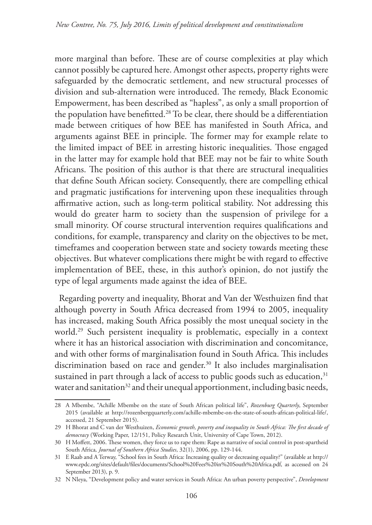more marginal than before. These are of course complexities at play which cannot possibly be captured here. Amongst other aspects, property rights were safeguarded by the democratic settlement, and new structural processes of division and sub-alternation were introduced. The remedy, Black Economic Empowerment, has been described as "hapless", as only a small proportion of the population have benefitted.<sup>28</sup> To be clear, there should be a differentiation made between critiques of how BEE has manifested in South Africa, and arguments against BEE in principle. The former may for example relate to the limited impact of BEE in arresting historic inequalities. Those engaged in the latter may for example hold that BEE may not be fair to white South Africans. The position of this author is that there are structural inequalities that define South African society. Consequently, there are compelling ethical and pragmatic justifications for intervening upon these inequalities through affirmative action, such as long-term political stability. Not addressing this would do greater harm to society than the suspension of privilege for a small minority. Of course structural intervention requires qualifications and conditions, for example, transparency and clarity on the objectives to be met, timeframes and cooperation between state and society towards meeting these objectives. But whatever complications there might be with regard to effective implementation of BEE, these, in this author's opinion, do not justify the type of legal arguments made against the idea of BEE.

Regarding poverty and inequality, Bhorat and Van der Westhuizen find that although poverty in South Africa decreased from 1994 to 2005, inequality has increased, making South Africa possibly the most unequal society in the world.29 Such persistent inequality is problematic, especially in a context where it has an historical association with discrimination and concomitance, and with other forms of marginalisation found in South Africa. This includes discrimination based on race and gender.<sup>30</sup> It also includes marginalisation sustained in part through a lack of access to public goods such as education,<sup>31</sup> water and sanitation<sup>32</sup> and their unequal apportionment, including basic needs,

<sup>28</sup> A Mbembe, "Achille Mbembe on the state of South African political life", *Rozenburg Quarterly*, September 2015 (available at http://rozenbergquarterly.com/achille-mbembe-on-the-state-of-south-african-political-life/, accessed, 21 September 2015).

<sup>29</sup> H Bhorat and C van der Westhuizen, *Economic growth, poverty and inequality in South Africa: The first decade of democracy* (Working Paper, 12/151, Policy Research Unit, University of Cape Town, 2012).

<sup>30</sup> H Moffett, 2006. These women, they force us to rape them: Rape as narrative of social control in post-apartheid South Africa*, Journal of Southern Africa Studies*, 32(1), 2006, pp. 129-144.

<sup>31</sup> E Raab and A Terway, "School fees in South Africa: Increasing quality or decreasing equality?" (available at http:// www.epdc.org/sites/default/files/documents/School%20Fees%20in%20South%20Africa.pdf, as accessed on 24 September 2013), p. 9.

<sup>32</sup> N Nleya, "Development policy and water services in South Africa: An urban poverty perspective", *Development*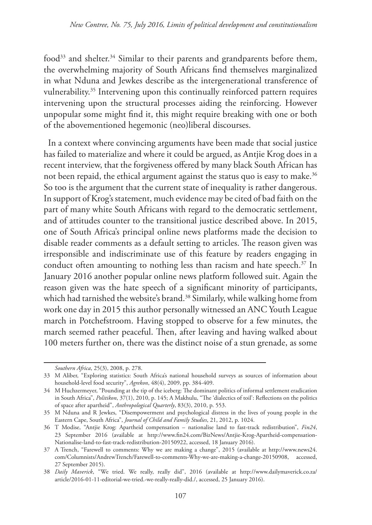food<sup>33</sup> and shelter.<sup>34</sup> Similar to their parents and grandparents before them, the overwhelming majority of South Africans find themselves marginalized in what Nduna and Jewkes describe as the intergenerational transference of vulnerability.35 Intervening upon this continually reinforced pattern requires intervening upon the structural processes aiding the reinforcing. However unpopular some might find it, this might require breaking with one or both of the abovementioned hegemonic (neo)liberal discourses.

In a context where convincing arguments have been made that social justice has failed to materialize and where it could be argued, as Antjie Krog does in a recent interview, that the forgiveness offered by many black South African has not been repaid, the ethical argument against the status quo is easy to make.<sup>36</sup> So too is the argument that the current state of inequality is rather dangerous. In support of Krog's statement, much evidence may be cited of bad faith on the part of many white South Africans with regard to the democratic settlement, and of attitudes counter to the transitional justice described above. In 2015, one of South Africa's principal online news platforms made the decision to disable reader comments as a default setting to articles. The reason given was irresponsible and indiscriminate use of this feature by readers engaging in conduct often amounting to nothing less than racism and hate speech.<sup>37</sup> In January 2016 another popular online news platform followed suit. Again the reason given was the hate speech of a significant minority of participants, which had tarnished the website's brand.<sup>38</sup> Similarly, while walking home from work one day in 2015 this author personally witnessed an ANC Youth League march in Potchefstroom. Having stopped to observe for a few minutes, the march seemed rather peaceful. Then, after leaving and having walked about 100 meters further on, there was the distinct noise of a stun grenade, as some

*Southern Africa*, 25(3), 2008, p. 278.

<sup>33</sup> M Aliber, "Exploring statistics: South Africa's national household surveys as sources of information about household-level food security", *Agrekon*, 48(4), 2009, pp. 384-409.

<sup>34</sup> M Huchzermeyer, "Pounding at the tip of the iceberg: The dominant politics of informal settlement eradication in South Africa", *Politikon*, 37(1), 2010, p. 145; A Makhulu, "The 'dialectics of toil': Reflections on the politics of space after apartheid", *Anthropological Quarterly*, 83(3), 2010, p. 553.

<sup>35</sup> M Nduna and R Jewkes, "Disempowerment and psychological distress in the lives of young people in the Eastern Cape, South Africa", *Journal of Child and Family Studies*, 21, 2012, p. 1024.

<sup>36</sup> T Modise, "Antjie Krog: Apartheid compensation – nationalise land to fast-track redistribution", *Fin24*, 23 September 2016 (available at http://www.fin24.com/BizNews/Antjie-Krog-Apartheid-compensation-Nationalise-land-to-fast-track-redistribution-20150922, accessed, 18 January 2016).

<sup>37</sup> A Trench, "Farewell to comments: Why we are making a change", 2015 (available at http://www.news24. com/Columnists/AndrewTrench/Farewell-to-comments-Why-we-are-making-a-change-20150908, accessed, 27 September 2015).

<sup>38</sup> *Daily Maverick*, "We tried. We really, really did", 2016 (available at http://www.dailymaverick.co.za/ article/2016-01-11-editorial-we-tried.-we-really-really-did./, accessed, 25 January 2016).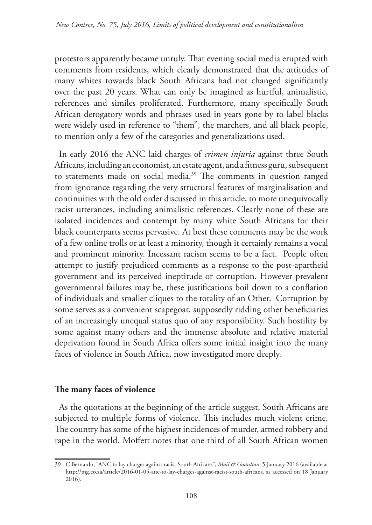protestors apparently became unruly. That evening social media erupted with comments from residents, which clearly demonstrated that the attitudes of many whites towards black South Africans had not changed significantly over the past 20 years. What can only be imagined as hurtful, animalistic, references and similes proliferated. Furthermore, many specifically South African derogatory words and phrases used in years gone by to label blacks were widely used in reference to "them", the marchers, and all black people, to mention only a few of the categories and generalizations used.

In early 2016 the ANC laid charges of *crimen injuria* against three South Africans, including an economist, an estate agent, and a fitness guru, subsequent to statements made on social media.<sup>39</sup> The comments in question ranged from ignorance regarding the very structural features of marginalisation and continuities with the old order discussed in this article, to more unequivocally racist utterances, including animalistic references. Clearly none of these are isolated incidences and contempt by many white South Africans for their black counterparts seems pervasive. At best these comments may be the work of a few online trolls or at least a minority, though it certainly remains a vocal and prominent minority. Incessant racism seems to be a fact. People often attempt to justify prejudiced comments as a response to the post-apartheid government and its perceived ineptitude or corruption. However prevalent governmental failures may be, these justifications boil down to a conflation of individuals and smaller cliques to the totality of an Other. Corruption by some serves as a convenient scapegoat, supposedly ridding other beneficiaries of an increasingly unequal status quo of any responsibility. Such hostility by some against many others and the immense absolute and relative material deprivation found in South Africa offers some initial insight into the many faces of violence in South Africa, now investigated more deeply.

### **The many faces of violence**

As the quotations at the beginning of the article suggest, South Africans are subjected to multiple forms of violence. This includes much violent crime. The country has some of the highest incidences of murder, armed robbery and rape in the world. Moffett notes that one third of all South African women

<sup>39</sup> C Bernardo, "ANC to lay charges against racist South Africans", *Mail & Guardian*, 5 January 2016 (available at http://mg.co.za/article/2016-01-05-anc-to-lay-charges-against-racist-south-africans, as accessed on 18 January 2016).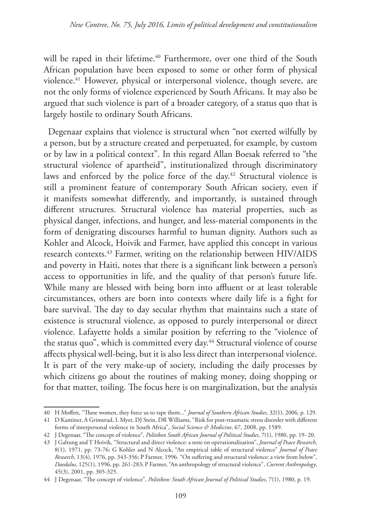will be raped in their lifetime.<sup>40</sup> Furthermore, over one third of the South African population have been exposed to some or other form of physical violence.<sup>41</sup> However, physical or interpersonal violence, though severe, are not the only forms of violence experienced by South Africans. It may also be argued that such violence is part of a broader category, of a status quo that is largely hostile to ordinary South Africans.

Degenaar explains that violence is structural when "not exerted wilfully by a person, but by a structure created and perpetuated, for example, by custom or by law in a political context". In this regard Allan Boesak referred to "the structural violence of apartheid", institutionalized through discriminatory laws and enforced by the police force of the day.<sup>42</sup> Structural violence is still a prominent feature of contemporary South African society, even if it manifests somewhat differently, and importantly, is sustained through different structures. Structural violence has material properties, such as physical danger, infections, and hunger, and less-material components in the form of denigrating discourses harmful to human dignity. Authors such as Kohler and Alcock, Hoivik and Farmer, have applied this concept in various research contexts.<sup>43</sup> Farmer, writing on the relationship between HIV/AIDS and poverty in Haiti, notes that there is a significant link between a person's access to opportunities in life, and the quality of that person's future life. While many are blessed with being born into affluent or at least tolerable circumstances, others are born into contexts where daily life is a fight for bare survival. The day to day secular rhythm that maintains such a state of existence is structural violence, as opposed to purely interpersonal or direct violence. Lafayette holds a similar position by referring to the "violence of the status quo", which is committed every day.<sup>44</sup> Structural violence of course affects physical well-being, but it is also less direct than interpersonal violence. It is part of the very make-up of society, including the daily processes by which citizens go about the routines of making money, doing shopping or for that matter, toiling. The focus here is on marginalization, but the analysis

<sup>40</sup> H Moffett, "These women, they force us to rape them..." *Journal of Southern African Studies*, 32(1), 2006, p. 129.

<sup>41</sup> D Kaminer, A Grimsrud, L Myer, DJ Stein, DR Williams, "Risk for post-traumatic stress disorder with different forms of interpersonal violence in South Africa", *Social Science & Medicine*, 67, 2008, pp. 1589.

<sup>42</sup> J Degenaar, "The concept of violence", *Politikon South African Journal of Political Studies*, 7(1), 1980, pp. 19- 20.

<sup>43</sup> J Galtung and T Hoivik, "Structural and direct violence: a note on operationalization", *Journal of Peace Research,*  8(1), 1971, pp. 73-76; G Kohler and N Alcock, "An empirical table of structural violence" *Journal of Peace Research*, 13(4), 1976, pp. 343-356; P Farmer, 1996. "On suffering and structural violence: a view from below", *Daedalus,* 125(1), 1996, pp. 261-283; P Farmer, "An anthropology of structural violence", *Current Anthropology*, 45(3), 2001, pp. 305-325.

<sup>44</sup> J Degenaar, "The concept of violence", *Politikon: South African Journal of Political Studies*, 7(1), 1980, p. 19.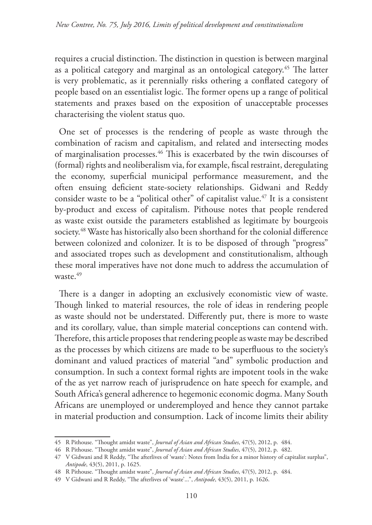requires a crucial distinction. The distinction in question is between marginal as a political category and marginal as an ontological category.<sup>45</sup> The latter is very problematic, as it perennially risks othering a conflated category of people based on an essentialist logic. The former opens up a range of political statements and praxes based on the exposition of unacceptable processes characterising the violent status quo.

One set of processes is the rendering of people as waste through the combination of racism and capitalism, and related and intersecting modes of marginalisation processes.<sup>46</sup> This is exacerbated by the twin discourses of (formal) rights and neoliberalism via, for example, fiscal restraint, deregulating the economy, superficial municipal performance measurement, and the often ensuing deficient state-society relationships. Gidwani and Reddy consider waste to be a "political other" of capitalist value.<sup>47</sup> It is a consistent by-product and excess of capitalism. Pithouse notes that people rendered as waste exist outside the parameters established as legitimate by bourgeois society.<sup>48</sup> Waste has historically also been shorthand for the colonial difference between colonized and colonizer. It is to be disposed of through "progress" and associated tropes such as development and constitutionalism, although these moral imperatives have not done much to address the accumulation of waste.<sup>49</sup>

There is a danger in adopting an exclusively economistic view of waste. Though linked to material resources, the role of ideas in rendering people as waste should not be understated. Differently put, there is more to waste and its corollary, value, than simple material conceptions can contend with. Therefore, this article proposes that rendering people as waste may be described as the processes by which citizens are made to be superfluous to the society's dominant and valued practices of material "and" symbolic production and consumption. In such a context formal rights are impotent tools in the wake of the as yet narrow reach of jurisprudence on hate speech for example, and South Africa's general adherence to hegemonic economic dogma. Many South Africans are unemployed or underemployed and hence they cannot partake in material production and consumption. Lack of income limits their ability

<sup>45</sup> R Pithouse. "Thought amidst waste", *Journal of Asian and African Studies*, 47(5), 2012, p. 484.

<sup>46</sup> R Pithouse. "Thought amidst waste", *Journal of Asian and African Studies*, 47(5), 2012, p. 482.

<sup>47</sup> V Gidwani and R Reddy, "The afterlives of 'waste': Notes from India for a minor history of capitalist surplus", *Antipode*, 43(5), 2011, p. 1625.

<sup>48</sup> R Pithouse. "Thought amidst waste", *Journal of Asian and African Studies*, 47(5), 2012, p. 484.

<sup>49</sup> V Gidwani and R Reddy, "The afterlives of 'waste'...", *Antipode*, 43(5), 2011, p. 1626.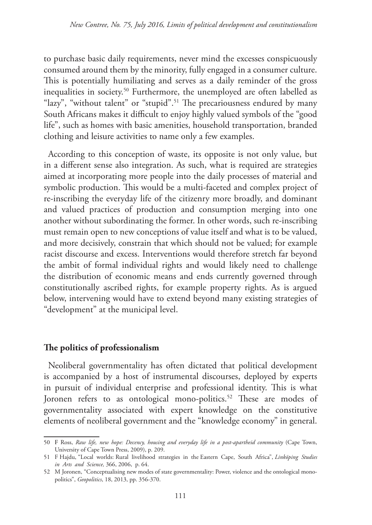to purchase basic daily requirements, never mind the excesses conspicuously consumed around them by the minority, fully engaged in a consumer culture. This is potentially humiliating and serves as a daily reminder of the gross inequalities in society.50 Furthermore, the unemployed are often labelled as "lazy", "without talent" or "stupid".<sup>51</sup> The precariousness endured by many South Africans makes it difficult to enjoy highly valued symbols of the "good life", such as homes with basic amenities, household transportation, branded clothing and leisure activities to name only a few examples.

According to this conception of waste, its opposite is not only value, but in a different sense also integration. As such, what is required are strategies aimed at incorporating more people into the daily processes of material and symbolic production. This would be a multi-faceted and complex project of re-inscribing the everyday life of the citizenry more broadly, and dominant and valued practices of production and consumption merging into one another without subordinating the former. In other words, such re-inscribing must remain open to new conceptions of value itself and what is to be valued, and more decisively, constrain that which should not be valued; for example racist discourse and excess. Interventions would therefore stretch far beyond the ambit of formal individual rights and would likely need to challenge the distribution of economic means and ends currently governed through constitutionally ascribed rights, for example property rights. As is argued below, intervening would have to extend beyond many existing strategies of "development" at the municipal level.

## **The politics of professionalism**

Neoliberal governmentality has often dictated that political development is accompanied by a host of instrumental discourses, deployed by experts in pursuit of individual enterprise and professional identity. This is what Joronen refers to as ontological mono-politics.<sup>52</sup> These are modes of governmentality associated with expert knowledge on the constitutive elements of neoliberal government and the "knowledge economy" in general.

<sup>50</sup> F Ross, *Raw life, new hope: Decency, housing and everyday life in a post-apartheid community* (Cape Town, University of Cape Town Press, 2009), p. 209.

<sup>51</sup> F Hajdu, "Local worlds: Rural livelihood strategies in the Eastern Cape, South Africa", *Linköping Studies in Arts and Science,* 366, 2006, p. 64.

<sup>52</sup> M Joronen, "Conceptualising new modes of state governmentality: Power, violence and the ontological monopolitics", *Geopolitics*, 18, 2013, pp. 356-370.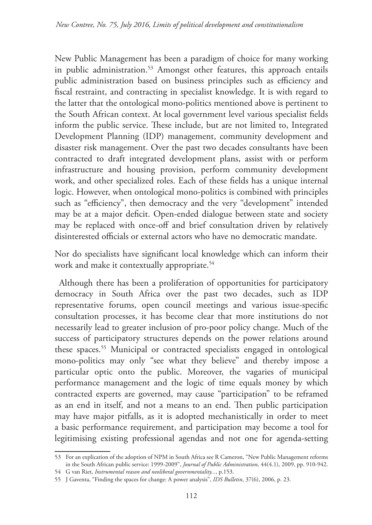New Public Management has been a paradigm of choice for many working in public administration.<sup>53</sup> Amongst other features, this approach entails public administration based on business principles such as efficiency and fiscal restraint, and contracting in specialist knowledge. It is with regard to the latter that the ontological mono-politics mentioned above is pertinent to the South African context. At local government level various specialist fields inform the public service. These include, but are not limited to, Integrated Development Planning (IDP) management, community development and disaster risk management. Over the past two decades consultants have been contracted to draft integrated development plans, assist with or perform infrastructure and housing provision, perform community development work, and other specialized roles. Each of these fields has a unique internal logic. However, when ontological mono-politics is combined with principles such as "efficiency", then democracy and the very "development" intended may be at a major deficit. Open-ended dialogue between state and society may be replaced with once-off and brief consultation driven by relatively disinterested officials or external actors who have no democratic mandate.

Nor do specialists have significant local knowledge which can inform their work and make it contextually appropriate.<sup>54</sup>

Although there has been a proliferation of opportunities for participatory democracy in South Africa over the past two decades, such as IDP representative forums, open council meetings and various issue-specific consultation processes, it has become clear that more institutions do not necessarily lead to greater inclusion of pro-poor policy change. Much of the success of participatory structures depends on the power relations around these spaces.55 Municipal or contracted specialists engaged in ontological mono-politics may only "see what they believe" and thereby impose a particular optic onto the public. Moreover, the vagaries of municipal performance management and the logic of time equals money by which contracted experts are governed, may cause "participation" to be reframed as an end in itself, and not a means to an end. Then public participation may have major pitfalls, as it is adopted mechanistically in order to meet a basic performance requirement, and participation may become a tool for legitimising existing professional agendas and not one for agenda-setting

<sup>53</sup> For an explication of the adoption of NPM in South Africa see R Cameron, "New Public Management reforms in the South African public service: 1999-2009", *Journal of Public Administration*, 44(4.1), 2009, pp. 910-942.

<sup>54</sup> G van Riet, *Instrumental reason and neoliberal governmentality...*, p.153.

<sup>55</sup> J Gaventa, "Finding the spaces for change: A power analysis", *IDS Bulletin*, 37(6), 2006, p. 23.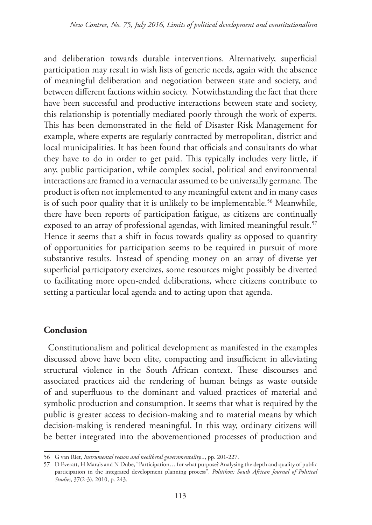and deliberation towards durable interventions. Alternatively, superficial participation may result in wish lists of generic needs, again with the absence of meaningful deliberation and negotiation between state and society, and between different factions within society. Notwithstanding the fact that there have been successful and productive interactions between state and society, this relationship is potentially mediated poorly through the work of experts. This has been demonstrated in the field of Disaster Risk Management for example, where experts are regularly contracted by metropolitan, district and local municipalities. It has been found that officials and consultants do what they have to do in order to get paid. This typically includes very little, if any, public participation, while complex social, political and environmental interactions are framed in a vernacular assumed to be universally germane. The product is often not implemented to any meaningful extent and in many cases is of such poor quality that it is unlikely to be implementable.<sup>56</sup> Meanwhile, there have been reports of participation fatigue, as citizens are continually exposed to an array of professional agendas, with limited meaningful result.<sup>57</sup> Hence it seems that a shift in focus towards quality as opposed to quantity of opportunities for participation seems to be required in pursuit of more substantive results. Instead of spending money on an array of diverse yet superficial participatory exercizes, some resources might possibly be diverted to facilitating more open-ended deliberations, where citizens contribute to setting a particular local agenda and to acting upon that agenda.

#### **Conclusion**

Constitutionalism and political development as manifested in the examples discussed above have been elite, compacting and insufficient in alleviating structural violence in the South African context. These discourses and associated practices aid the rendering of human beings as waste outside of and superfluous to the dominant and valued practices of material and symbolic production and consumption. It seems that what is required by the public is greater access to decision-making and to material means by which decision-making is rendered meaningful. In this way, ordinary citizens will be better integrated into the abovementioned processes of production and

<sup>56</sup> G van Riet, *Instrumental reason and neoliberal governmentality...*, pp. 201-227.

<sup>57</sup> D Everatt, H Marais and N Dube, "Participation… for what purpose? Analysing the depth and quality of public participation in the integrated development planning process", *Politikon: South African Journal of Political Studies*, 37(2-3), 2010, p. 243.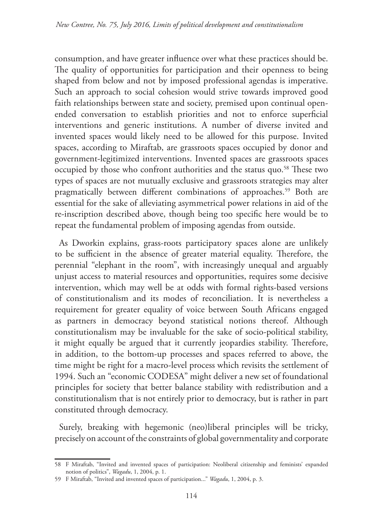consumption, and have greater influence over what these practices should be. The quality of opportunities for participation and their openness to being shaped from below and not by imposed professional agendas is imperative. Such an approach to social cohesion would strive towards improved good faith relationships between state and society, premised upon continual openended conversation to establish priorities and not to enforce superficial interventions and generic institutions. A number of diverse invited and invented spaces would likely need to be allowed for this purpose. Invited spaces, according to Miraftab, are grassroots spaces occupied by donor and government-legitimized interventions. Invented spaces are grassroots spaces occupied by those who confront authorities and the status quo.<sup>58</sup> These two types of spaces are not mutually exclusive and grassroots strategies may alter pragmatically between different combinations of approaches.<sup>59</sup> Both are essential for the sake of alleviating asymmetrical power relations in aid of the re-inscription described above, though being too specific here would be to repeat the fundamental problem of imposing agendas from outside.

As Dworkin explains, grass-roots participatory spaces alone are unlikely to be sufficient in the absence of greater material equality. Therefore, the perennial "elephant in the room", with increasingly unequal and arguably unjust access to material resources and opportunities, requires some decisive intervention, which may well be at odds with formal rights-based versions of constitutionalism and its modes of reconciliation. It is nevertheless a requirement for greater equality of voice between South Africans engaged as partners in democracy beyond statistical notions thereof. Although constitutionalism may be invaluable for the sake of socio-political stability, it might equally be argued that it currently jeopardies stability. Therefore, in addition, to the bottom-up processes and spaces referred to above, the time might be right for a macro-level process which revisits the settlement of 1994. Such an "economic CODESA" might deliver a new set of foundational principles for society that better balance stability with redistribution and a constitutionalism that is not entirely prior to democracy, but is rather in part constituted through democracy.

Surely, breaking with hegemonic (neo)liberal principles will be tricky, precisely on account of the constraints of global governmentality and corporate

<sup>58</sup> F Miraftab, "Invited and invented spaces of participation: Neoliberal citizenship and feminists' expanded notion of politics", *Wagadu*, 1, 2004, p. 1.

<sup>59</sup> F Miraftab, "Invited and invented spaces of participation..." *Wagadu*, 1, 2004, p. 3.